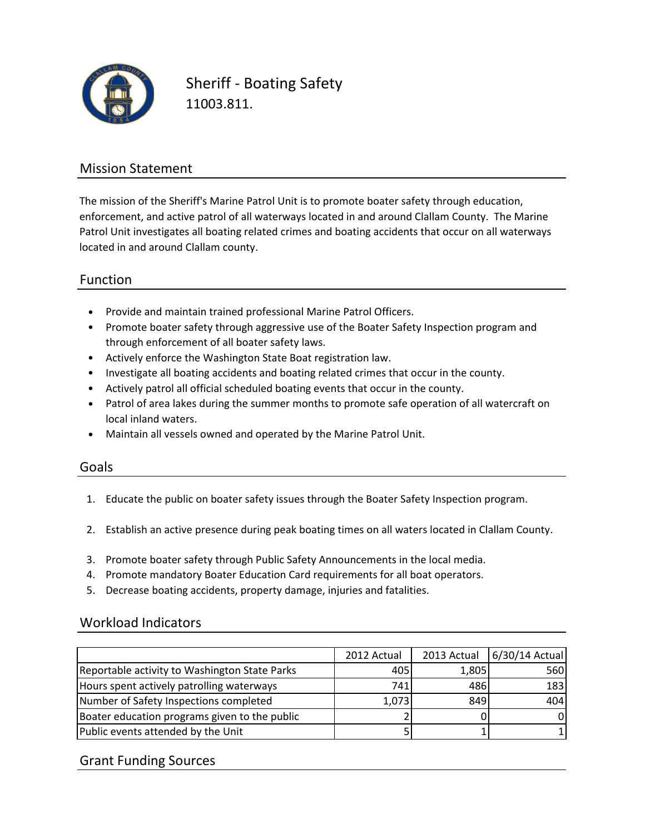

Sheriff - Boating Safety 11003.811.

### Mission Statement

The mission of the Sheriff's Marine Patrol Unit is to promote boater safety through education, enforcement, and active patrol of all waterways located in and around Clallam County. The Marine Patrol Unit investigates all boating related crimes and boating accidents that occur on all waterways located in and around Clallam county.

### Function

- Provide and maintain trained professional Marine Patrol Officers.
- Promote boater safety through aggressive use of the Boater Safety Inspection program and through enforcement of all boater safety laws.
- Actively enforce the Washington State Boat registration law.
- Investigate all boating accidents and boating related crimes that occur in the county.
- Actively patrol all official scheduled boating events that occur in the county.
- Patrol of area lakes during the summer months to promote safe operation of all watercraft on local inland waters.
- Maintain all vessels owned and operated by the Marine Patrol Unit.

#### Goals

- 1. Educate the public on boater safety issues through the Boater Safety Inspection program.
- 2. Establish an active presence during peak boating times on all waters located in Clallam County.
- 3. Promote boater safety through Public Safety Announcements in the local media.
- 4. Promote mandatory Boater Education Card requirements for all boat operators.
- 5. Decrease boating accidents, property damage, injuries and fatalities.

#### Workload Indicators

|                                               | 2012 Actual | 2013 Actual | $6/30/14$ Actual |
|-----------------------------------------------|-------------|-------------|------------------|
| Reportable activity to Washington State Parks | 405         | 1,805       | 560              |
| Hours spent actively patrolling waterways     | 741I        | 486         | 183              |
| Number of Safety Inspections completed        | 1,073       | 849         | 404              |
| Boater education programs given to the public |             |             |                  |
| Public events attended by the Unit            |             |             |                  |

#### Grant Funding Sources